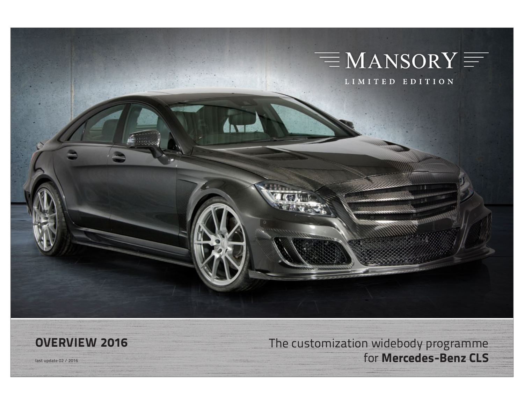

**OVERVIEW 2016** The customization widebody programme last update 02 / 2016 for **Mercedes-Benz CLS**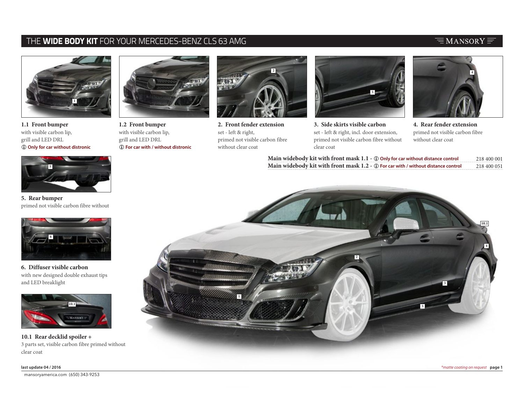### THE **WIDE BODY KIT** FOR YOUR MERCEDES-BENZ CLS 63 AMG

### $\equiv$ MANSORY $\equiv$



**1.1 Front bumper**  with visible carbon lip, grill and LED DRL L **Only for car without distronic**



**1.2 Front bumper**  with visible carbon lip, grill and LED DRL L **For car with / without distronic**



**2. Front fender extension** set - left & right, primed not visible carbon fibre without clear coat



**3. Side skirts visible carbon** set - left & right, incl. door extension, primed not visible carbon fibre without clear coat



**4. Rear fender extension**  primed not visible carbon fibre without clear coat

| Main widebody kit with front mask $1.1$ - $\oplus$ Only for car without distance control | 218 400 001 |
|------------------------------------------------------------------------------------------|-------------|
| Main widebody kit with front mask 1.2 - ① For car with / without distance control        | 218 400 051 |



**5. Rear bumper**  primed not visible carbon fibre without



**6. Diffuser visible carbon** with new designed double exhaust tips and LED breaklight



**10.1 Rear decklid spoiler +** 3 parts set, visible carbon fibre primed without clear coat

mansoryamerica.com (650) 343-9253 compared to the state of the state of the state of the state of the state of the state of the state of the state of the state of the state of the state of the state of the state of the sta

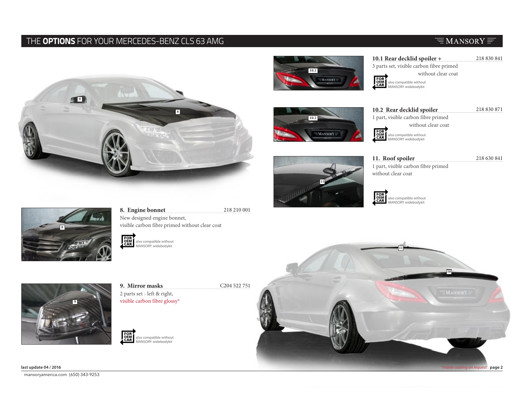### THE **OPTIONS** FOR YOUR MERCEDES-BENZ CLS 63 AMG

# **8 9**



**10.1 Rear decklid spoiler +** 3 parts set, visible carbon fibre primed without clear coat FOR<br>OEM<br>CAR also compatible without MANSORY widebodykit



**10.2 Rear decklid spoiler**  218 830 871 1 part, visible carbon fibre primed without clear coat FOR<br>OEM<br>CAR also compatible without MANSORY widebodykit



**11. Roof spoiler** 218 630 841 1 part, visible carbon fibre primed without clear coat

> also compatible without MANSORY widebodykit



**8. Engine bonnet** 218 210 001 New designed engine bonnet, visible carbon fibre primed without clear coat

FOR<br>OEM<br>CAR also compatible without<br>MANSORY widebodykit



**9. Mirror masks** C<sub>204</sub> 522 751 2 parts set - left & right, visible carbon fibre glossy\*





FOR<br>OEM<br>CAR

# $\equiv$ MANSORY $\equiv$

218 830 841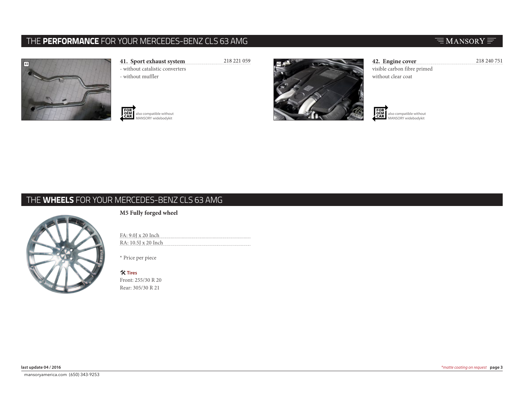## THE **PERFORMANCE** FOR YOUR MERCEDES-BENZ CLS 63 AMG



- **41. Sport exhaust system** 218 221 059
	- without catalistic converters
	- without muffler







**42. Engine cover** 218 240 751 visible carbon fibre primed without clear coat

FOR<br>OEM<br>CAR also compatible without MANSORY widebodykit

# THE **WHEELS** FOR YOUR MERCEDES-BENZ CLS 63 AMG



**M5 Fully forged wheel** 

FA: 9.0J x 20 Inch RA: 10.5J x 20 Inch

\* Price per piece

# **Tires**

Front: 255/30 R 20 Rear: 305/30 R 21

### $\equiv$ MANSORY $\equiv$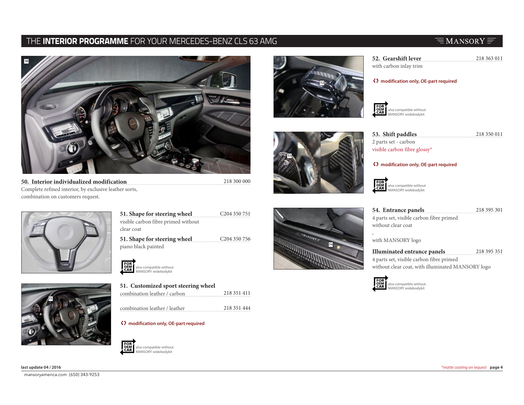### THE **INTERIOR PROGRAMME** FOR YOUR MERCEDES-BENZ CLS 63 AMG

# $\equiv$ MANSORY $\equiv$



**50. Interior individualized modification** 218 300 000 Complete refined interior, by exclusive leather sorts, combination on customers request.





C204 350 751 **51. Shape for steering wheel** visible carbon fibre primed without clear coat

C204 350 756 **51. Shape for steering wheel** piano black painted



| 51. Customized sport steering wheel |             |
|-------------------------------------|-------------|
| combination leather / carbon        | 218 351 411 |

218 351 444 combination leather / leather

### T **modification only, OE-part required**









**52. Gearshift lever** 218 363 011

with carbon inlay trim

### T **modification only, OE-part required**

FOR<br>CAR also compatible without MANSORY widebodykit

**53. Shift paddles** 218 350 011

218 395 301

2 parts set - carbon visible carbon fibre glossy\*

### T **modification only, OE-part required**

FOR<br>OEM<br>CAR also compatible without MANSORY widebodykit

### **54. Entrance panels**

4 parts set, visible carbon fibre primed without clear coat

with MANSORY logo

218 395 351 **Illuminated entrance panels** 4 parts set, visible carbon fibre primed without clear coat, with illuminated MANSORY logo

**DEM**<br>CAR also compatible without MANSORY widebodykit

mansoryamerica.com (650) 343-9253 compared to the state of the state of the state of the state of the state of the state of the state of the state of the state of the state of the state of the state of the state of the sta